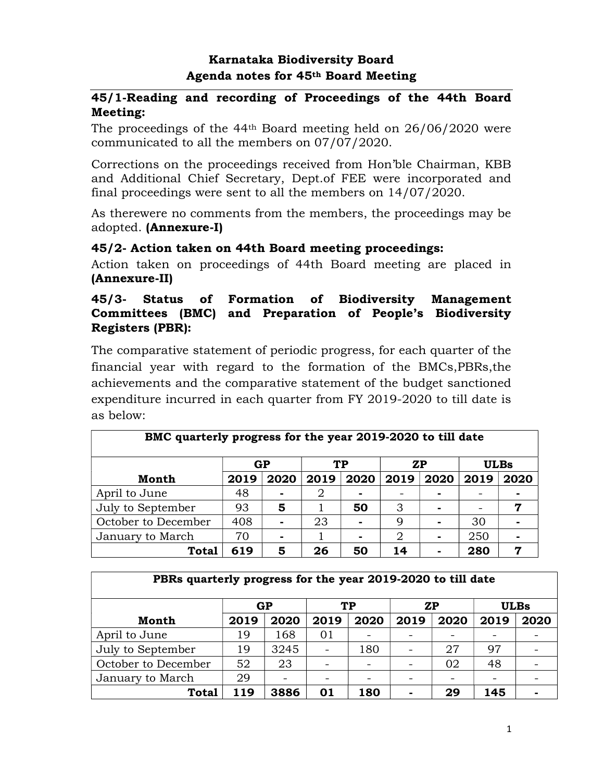# Karnataka Biodiversity Board Agenda notes for 45th Board Meeting

## 45/1-Reading and recording of Proceedings of the 44th Board Meeting:

The proceedings of the 44th Board meeting held on 26/06/2020 were communicated to all the members on 07/07/2020.

Corrections on the proceedings received from Hon'ble Chairman, KBB and Additional Chief Secretary, Dept.of FEE were incorporated and final proceedings were sent to all the members on 14/07/2020.

As therewere no comments from the members, the proceedings may be adopted. (Annexure-I)

## 45/2- Action taken on 44th Board meeting proceedings:

Action taken on proceedings of 44th Board meeting are placed in (Annexure-II)

## 45/3- Status of Formation of Biodiversity Management Committees (BMC) and Preparation of People's Biodiversity Registers (PBR):

The comparative statement of periodic progress, for each quarter of the financial year with regard to the formation of the BMCs,PBRs,the achievements and the comparative statement of the budget sanctioned expenditure incurred in each quarter from FY 2019-2020 to till date is as below:  $\overline{a}$ 

| BMC quarterly progress for the year 2019-2020 to till date |      |                |      |      |      |      |      |             |
|------------------------------------------------------------|------|----------------|------|------|------|------|------|-------------|
|                                                            |      | GP             |      | TP   |      | ZP   |      | <b>ULBs</b> |
| <b>Month</b>                                               | 2019 | 2020           | 2019 | 2020 | 2019 | 2020 | 2019 | 2020        |
| April to June                                              | 48   | $\blacksquare$ | 2    |      |      |      |      |             |
| July to September                                          | 93   | 5              |      | 50   | 3    |      |      | 7           |
| October to December                                        | 408  |                | 23   |      | 9    |      | 30   |             |
| January to March                                           | 70   |                |      |      | 2    |      | 250  |             |
| <b>Total</b>                                               | 619  | 5              | 26   | 50   | 14   |      | 280  | 7           |

| PBRs quarterly progress for the year 2019-2020 to till date |      |                          |      |                          |      |           |      |             |
|-------------------------------------------------------------|------|--------------------------|------|--------------------------|------|-----------|------|-------------|
|                                                             |      | GP                       |      | TP                       |      | <b>ZP</b> |      | <b>ULBs</b> |
| <b>Month</b>                                                | 2019 | 2020                     | 2019 | 2020                     | 2019 | 2020      | 2019 | 2020        |
| April to June                                               | 19   | 168                      | 01   |                          |      |           |      |             |
| July to September                                           | 19   | 3245                     |      | 180                      |      | 27        | 97   |             |
| October to December                                         | 52   | 23                       |      |                          |      | 02        | 48   |             |
| January to March                                            | 29   | $\overline{\phantom{0}}$ |      | $\overline{\phantom{0}}$ |      |           |      |             |
| Total                                                       | 119  | 3886                     | 01   | 180                      |      | 29        | 145  |             |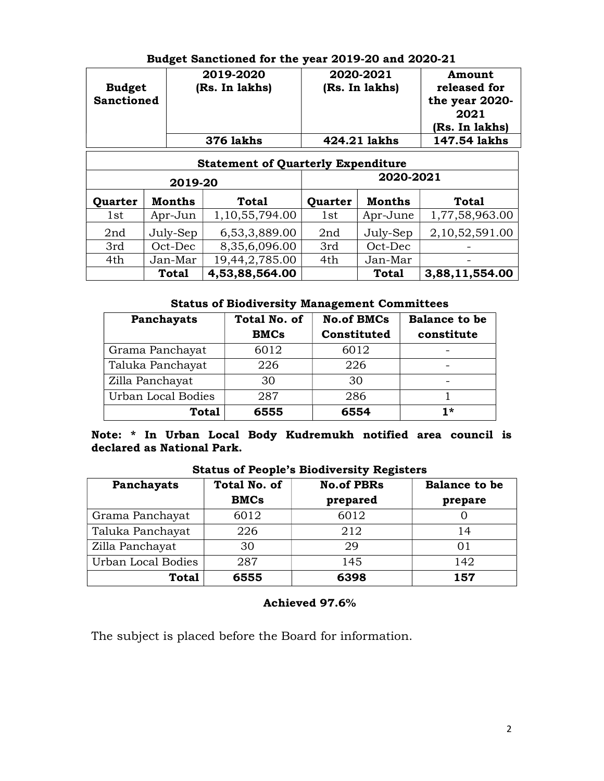|                   | 2019-2020      | 2020-2021      | Amount         |
|-------------------|----------------|----------------|----------------|
| <b>Budget</b>     | (Rs. In lakhs) | (Rs. In lakhs) | released for   |
| <b>Sanctioned</b> |                |                | the year 2020- |
|                   |                |                | 2021           |
|                   |                |                | (Rs. In lakhs) |
|                   | 376 lakhs      | 424.21 lakhs   | 147.54 lakhs   |

Г

### Budget Sanctioned for the year 2019-20 and 2020-21

| <b>Statement of Quarterly Expenditure</b> |               |                |         |              |                |  |
|-------------------------------------------|---------------|----------------|---------|--------------|----------------|--|
| 2019-20                                   |               |                |         | 2020-2021    |                |  |
| Quarter                                   | <b>Months</b> | <b>Total</b>   | Quarter | Months       | <b>Total</b>   |  |
| 1st                                       | Apr-Jun       | 1,10,55,794.00 | 1st     | Apr-June     | 1,77,58,963.00 |  |
| 2nd                                       | July-Sep      | 6,53,3,889.00  | 2nd     | July-Sep     | 2,10,52,591.00 |  |
| 3rd                                       | Oct-Dec       | 8,35,6,096.00  | 3rd     | Oct-Dec      |                |  |
| 4th                                       | Jan-Mar       | 19,44,2,785.00 | 4th     | Jan-Mar      |                |  |
|                                           | <b>Total</b>  | 4,53,88,564.00 |         | <b>Total</b> | 3,88,11,554.00 |  |

### Status of Biodiversity Management Committees

| Panchayats         | <b>Total No. of</b><br><b>BMCs</b> | <b>No.of BMCs</b><br>Constituted | <b>Balance to be</b><br>constitute |
|--------------------|------------------------------------|----------------------------------|------------------------------------|
| Grama Panchayat    | 6012                               | 6012                             |                                    |
| Taluka Panchayat   | 226                                | 226                              | $\overline{\phantom{0}}$           |
| Zilla Panchayat    | 30                                 | 30                               |                                    |
| Urban Local Bodies | 287                                | 286                              |                                    |
| <b>Total</b>       | 6555                               | 6554                             | $1*$                               |

### Note: \* In Urban Local Body Kudremukh notified area council is declared as National Park.

Status of People's Biodiversity Registers

| Panchayats         | <b>Total No. of</b> | <b>No.of PBRs</b> | <b>Balance to be</b> |
|--------------------|---------------------|-------------------|----------------------|
|                    | <b>BMCs</b>         | prepared          | prepare              |
| Grama Panchayat    | 6012                | 6012              |                      |
| Taluka Panchayat   | 226                 | 212               | 14                   |
| Zilla Panchayat    | 30                  | 29                | 01                   |
| Urban Local Bodies | 287                 | 145               | 142                  |
| <b>Total</b>       | 6555                | 6398              | 157                  |

#### Achieved 97.6%

The subject is placed before the Board for information.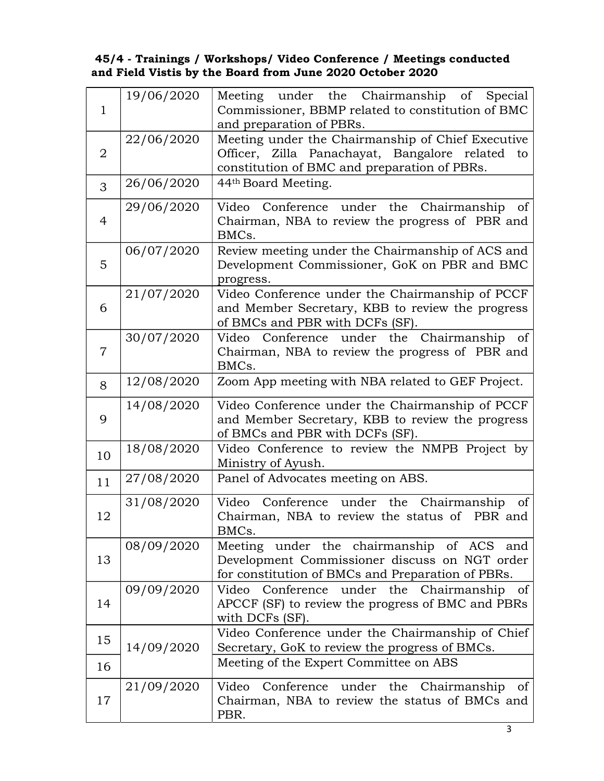### 45/4 - Trainings / Workshops/ Video Conference / Meetings conducted and Field Vistis by the Board from June 2020 October 2020

| $\mathbf{1}$   | 19/06/2020 | Meeting under the Chairmanship of<br>Special<br>Commissioner, BBMP related to constitution of BMC<br>and preparation of PBRs.                           |
|----------------|------------|---------------------------------------------------------------------------------------------------------------------------------------------------------|
| $\overline{2}$ | 22/06/2020 | Meeting under the Chairmanship of Chief Executive<br>Officer, Zilla Panachayat, Bangalore related<br>to<br>constitution of BMC and preparation of PBRs. |
| 3              | 26/06/2020 | 44 <sup>th</sup> Board Meeting.                                                                                                                         |
| $\overline{4}$ | 29/06/2020 | Video Conference under the Chairmanship<br>of<br>Chairman, NBA to review the progress of PBR and<br>BMCs.                                               |
| 5              | 06/07/2020 | Review meeting under the Chairmanship of ACS and<br>Development Commissioner, GoK on PBR and BMC<br>progress.                                           |
| 6              | 21/07/2020 | Video Conference under the Chairmanship of PCCF<br>and Member Secretary, KBB to review the progress<br>of BMCs and PBR with DCFs (SF).                  |
| $\overline{7}$ | 30/07/2020 | Video Conference under the Chairmanship of<br>Chairman, NBA to review the progress of PBR and<br>BMCs.                                                  |
| 8              | 12/08/2020 | Zoom App meeting with NBA related to GEF Project.                                                                                                       |
| 9              | 14/08/2020 | Video Conference under the Chairmanship of PCCF<br>and Member Secretary, KBB to review the progress<br>of BMCs and PBR with DCFs (SF).                  |
| 10             | 18/08/2020 | Video Conference to review the NMPB Project by<br>Ministry of Ayush.                                                                                    |
| 11             | 27/08/2020 | Panel of Advocates meeting on ABS.                                                                                                                      |
| 12             | 31/08/2020 | Video Conference under the Chairmanship<br><sub>of</sub><br>Chairman, NBA to review the status of PBR and<br>BMCs.                                      |
| 13             | 08/09/2020 | Meeting under the chairmanship of ACS and<br>Development Commissioner discuss on NGT order<br>for constitution of BMCs and Preparation of PBRs.         |
| 14             | 09/09/2020 | the Chairmanship<br>Video<br>Conference<br>under<br><sub>of</sub><br>APCCF (SF) to review the progress of BMC and PBRs<br>with DCFs (SF).               |
| 15             | 14/09/2020 | Video Conference under the Chairmanship of Chief<br>Secretary, GoK to review the progress of BMCs.                                                      |
| 16             |            | Meeting of the Expert Committee on ABS                                                                                                                  |
| 17             | 21/09/2020 | Conference<br>Video<br>under<br>the<br>Chairmanship<br><sub>of</sub><br>Chairman, NBA to review the status of BMCs and<br>PBR.                          |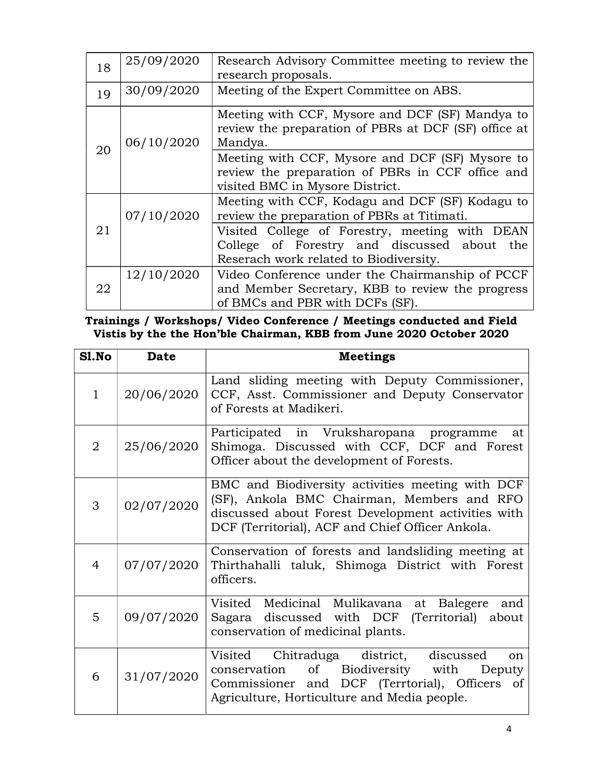| 18 | 25/09/2020 | Research Advisory Committee meeting to review the<br>research proposals.                                                                   |  |  |  |
|----|------------|--------------------------------------------------------------------------------------------------------------------------------------------|--|--|--|
| 19 | 30/09/2020 | Meeting of the Expert Committee on ABS.                                                                                                    |  |  |  |
|    | 06/10/2020 | Meeting with CCF, Mysore and DCF (SF) Mandya to<br>review the preparation of PBRs at DCF (SF) office at<br>Mandya.                         |  |  |  |
| 20 |            | Meeting with CCF, Mysore and DCF (SF) Mysore to<br>review the preparation of PBRs in CCF office and<br>visited BMC in Mysore District.     |  |  |  |
|    | 07/10/2020 | Meeting with CCF, Kodagu and DCF (SF) Kodagu to<br>review the preparation of PBRs at Titimati.                                             |  |  |  |
| 21 |            | Visited College of Forestry, meeting with DEAN<br>College of Forestry and discussed about<br>the<br>Reserach work related to Biodiversity. |  |  |  |
| 22 | 12/10/2020 | Video Conference under the Chairmanship of PCCF<br>and Member Secretary, KBB to review the progress<br>of BMCs and PBR with DCFs (SF).     |  |  |  |

Trainings / Workshops/ Video Conference / Meetings conducted and Field Vistis by the the Hon'ble Chairman, KBB from June 2020 October 2020

| Sl.No          | <b>Date</b> | <b>Meetings</b>                                                                                                                                                                                          |
|----------------|-------------|----------------------------------------------------------------------------------------------------------------------------------------------------------------------------------------------------------|
| $\mathbf{1}$   | 20/06/2020  | Land sliding meeting with Deputy Commissioner,<br>CCF, Asst. Commissioner and Deputy Conservator<br>of Forests at Madikeri.                                                                              |
| $\overline{2}$ | 25/06/2020  | Participated in Vruksharopana programme<br>at<br>Shimoga. Discussed with CCF, DCF and Forest<br>Officer about the development of Forests.                                                                |
| 3              | 02/07/2020  | BMC and Biodiversity activities meeting with DCF<br>(SF), Ankola BMC Chairman, Members and RFO<br>discussed about Forest Development activities with<br>DCF (Territorial), ACF and Chief Officer Ankola. |
| $\overline{4}$ | 07/07/2020  | Conservation of forests and landsliding meeting at<br>Thirthahalli taluk, Shimoga District with Forest<br>officers.                                                                                      |
| 5              | 09/07/2020  | Visited Medicinal Mulikavana at<br>Balegere<br>and<br>Sagara discussed with DCF (Territorial) about<br>conservation of medicinal plants.                                                                 |
| 6              | 31/07/2020  | Visited Chitraduga district, discussed<br><sub>on</sub><br>conservation of Biodiversity with<br>Deputy<br>Commissioner and DCF (Terrtorial), Officers of<br>Agriculture, Horticulture and Media people.  |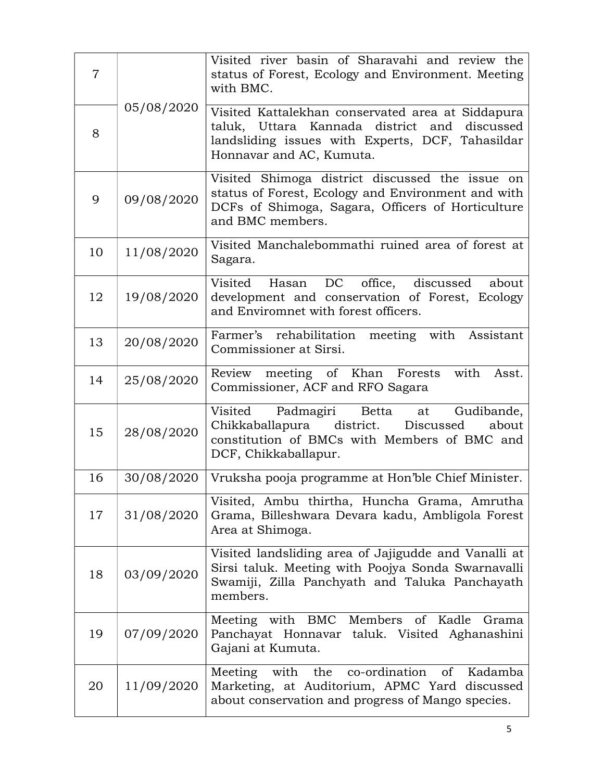| $\overline{7}$ |            | Visited river basin of Sharavahi and review the<br>status of Forest, Ecology and Environment. Meeting<br>with BMC.                                                                |
|----------------|------------|-----------------------------------------------------------------------------------------------------------------------------------------------------------------------------------|
| 8              | 05/08/2020 | Visited Kattalekhan conservated area at Siddapura<br>taluk, Uttara Kannada district and discussed<br>landsliding issues with Experts, DCF, Tahasildar<br>Honnavar and AC, Kumuta. |
| 9              | 09/08/2020 | Visited Shimoga district discussed the issue on<br>status of Forest, Ecology and Environment and with<br>DCFs of Shimoga, Sagara, Officers of Horticulture<br>and BMC members.    |
| 10             | 11/08/2020 | Visited Manchalebommathi ruined area of forest at<br>Sagara.                                                                                                                      |
| 12             | 19/08/2020 | Visited<br>DC office, discussed<br>Hasan<br>about<br>development and conservation of Forest, Ecology<br>and Enviromnet with forest officers.                                      |
| 13             | 20/08/2020 | Farmer's rehabilitation meeting with Assistant<br>Commissioner at Sirsi.                                                                                                          |
| 14             | 25/08/2020 | with<br>Review meeting of Khan Forests<br>Asst.<br>Commissioner, ACF and RFO Sagara                                                                                               |
| 15             | 28/08/2020 | Visited<br>Padmagiri Betta<br>Gudibande,<br>at<br>Chikkaballapura district. Discussed<br>about<br>constitution of BMCs with Members of BMC and<br>DCF, Chikkaballapur.            |
| 16             | 30/08/2020 | Vruksha pooja programme at Hon'ble Chief Minister.                                                                                                                                |
| 17             | 31/08/2020 | Visited, Ambu thirtha, Huncha Grama, Amrutha<br>Grama, Billeshwara Devara kadu, Ambligola Forest<br>Area at Shimoga.                                                              |
| 18             | 03/09/2020 | Visited landsliding area of Jajigudde and Vanalli at<br>Sirsi taluk. Meeting with Poojya Sonda Swarnavalli<br>Swamiji, Zilla Panchyath and Taluka Panchayath<br>members.          |
| 19             | 07/09/2020 | Meeting with BMC Members of Kadle<br>Grama<br>Panchayat Honnavar taluk. Visited Aghanashini<br>Gajani at Kumuta.                                                                  |
| 20             | 11/09/2020 | the<br>co-ordination<br>Meeting with<br>of<br>Kadamba<br>Marketing, at Auditorium, APMC Yard discussed<br>about conservation and progress of Mango species.                       |
|                |            | 5                                                                                                                                                                                 |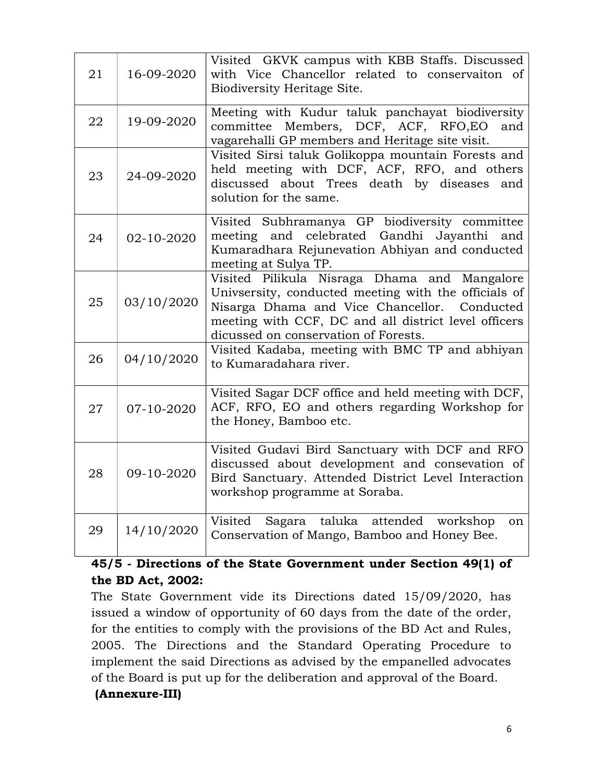| 21 | 16-09-2020 | Visited GKVK campus with KBB Staffs. Discussed<br>with Vice Chancellor related to conservaiton of<br>Biodiversity Heritage Site.                                                                                                                       |
|----|------------|--------------------------------------------------------------------------------------------------------------------------------------------------------------------------------------------------------------------------------------------------------|
| 22 | 19-09-2020 | Meeting with Kudur taluk panchayat biodiversity<br>committee Members, DCF, ACF, RFO,EO<br>and<br>vagarehalli GP members and Heritage site visit.                                                                                                       |
| 23 | 24-09-2020 | Visited Sirsi taluk Golikoppa mountain Forests and<br>held meeting with DCF, ACF, RFO, and others<br>discussed about Trees death by diseases<br>and<br>solution for the same.                                                                          |
| 24 | 02-10-2020 | Visited Subhramanya GP biodiversity committee<br>meeting and celebrated Gandhi Jayanthi and<br>Kumaradhara Rejunevation Abhiyan and conducted<br>meeting at Sulya TP.                                                                                  |
| 25 | 03/10/2020 | Visited Pilikula Nisraga Dhama and Mangalore<br>University, conducted meeting with the officials of<br>Nisarga Dhama and Vice Chancellor.<br>Conducted<br>meeting with CCF, DC and all district level officers<br>dicussed on conservation of Forests. |
| 26 | 04/10/2020 | Visited Kadaba, meeting with BMC TP and abhiyan<br>to Kumaradahara river.                                                                                                                                                                              |
| 27 | 07-10-2020 | Visited Sagar DCF office and held meeting with DCF,<br>ACF, RFO, EO and others regarding Workshop for<br>the Honey, Bamboo etc.                                                                                                                        |
| 28 | 09-10-2020 | Visited Gudavi Bird Sanctuary with DCF and RFO<br>discussed about development and consevation of<br>Bird Sanctuary. Attended District Level Interaction<br>workshop programme at Soraba.                                                               |
| 29 | 14/10/2020 | Visited<br>taluka attended workshop<br>Sagara<br>on<br>Conservation of Mango, Bamboo and Honey Bee.                                                                                                                                                    |

# 45/5 - Directions of the State Government under Section 49(1) of the BD Act, 2002:

The State Government vide its Directions dated 15/09/2020, has issued a window of opportunity of 60 days from the date of the order, for the entities to comply with the provisions of the BD Act and Rules, 2005. The Directions and the Standard Operating Procedure to implement the said Directions as advised by the empanelled advocates of the Board is put up for the deliberation and approval of the Board.

## (Annexure-III)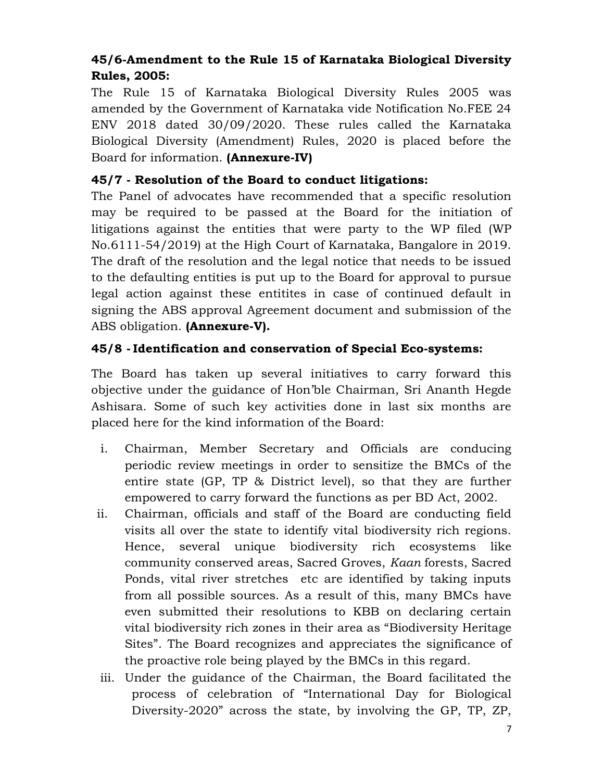# 45/6-Amendment to the Rule 15 of Karnataka Biological Diversity Rules, 2005:

The Rule 15 of Karnataka Biological Diversity Rules 2005 was amended by the Government of Karnataka vide Notification No.FEE 24 ENV 2018 dated 30/09/2020. These rules called the Karnataka Biological Diversity (Amendment) Rules, 2020 is placed before the Board for information. (Annexure-IV)

# 45/7 - Resolution of the Board to conduct litigations:

The Panel of advocates have recommended that a specific resolution may be required to be passed at the Board for the initiation of litigations against the entities that were party to the WP filed (WP No.6111-54/2019) at the High Court of Karnataka, Bangalore in 2019. The draft of the resolution and the legal notice that needs to be issued to the defaulting entities is put up to the Board for approval to pursue legal action against these entitites in case of continued default in signing the ABS approval Agreement document and submission of the ABS obligation. (Annexure-V).

# 45/8 -Identification and conservation of Special Eco-systems:

The Board has taken up several initiatives to carry forward this objective under the guidance of Hon'ble Chairman, Sri Ananth Hegde Ashisara. Some of such key activities done in last six months are placed here for the kind information of the Board:

- i. Chairman, Member Secretary and Officials are conducing periodic review meetings in order to sensitize the BMCs of the entire state (GP, TP & District level), so that they are further empowered to carry forward the functions as per BD Act, 2002.
- ii. Chairman, officials and staff of the Board are conducting field visits all over the state to identify vital biodiversity rich regions. Hence, several unique biodiversity rich ecosystems like community conserved areas, Sacred Groves, Kaan forests, Sacred Ponds, vital river stretches etc are identified by taking inputs from all possible sources. As a result of this, many BMCs have even submitted their resolutions to KBB on declaring certain vital biodiversity rich zones in their area as "Biodiversity Heritage Sites". The Board recognizes and appreciates the significance of the proactive role being played by the BMCs in this regard.
- iii. Under the guidance of the Chairman, the Board facilitated the process of celebration of "International Day for Biological Diversity-2020" across the state, by involving the GP, TP, ZP,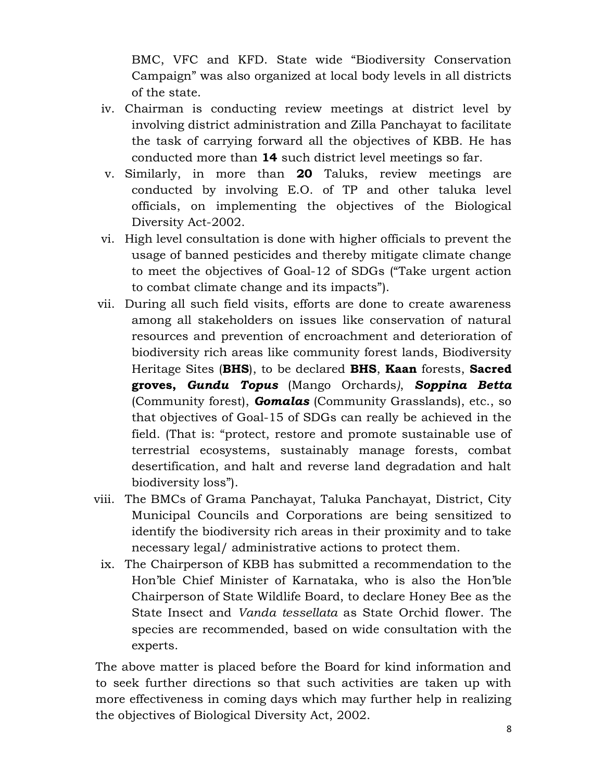BMC, VFC and KFD. State wide "Biodiversity Conservation Campaign" was also organized at local body levels in all districts of the state.

- iv. Chairman is conducting review meetings at district level by involving district administration and Zilla Panchayat to facilitate the task of carrying forward all the objectives of KBB. He has conducted more than 14 such district level meetings so far.
- v. Similarly, in more than 20 Taluks, review meetings are conducted by involving E.O. of TP and other taluka level officials, on implementing the objectives of the Biological Diversity Act-2002.
- vi. High level consultation is done with higher officials to prevent the usage of banned pesticides and thereby mitigate climate change to meet the objectives of Goal-12 of SDGs ("Take urgent action to combat climate change and its impacts").
- vii. During all such field visits, efforts are done to create awareness among all stakeholders on issues like conservation of natural resources and prevention of encroachment and deterioration of biodiversity rich areas like community forest lands, Biodiversity Heritage Sites (BHS), to be declared BHS, Kaan forests, Sacred groves, Gundu Topus (Mango Orchards), Soppina Betta (Community forest), **Gomalas** (Community Grasslands), etc., so that objectives of Goal-15 of SDGs can really be achieved in the field. (That is: "protect, restore and promote sustainable use of terrestrial ecosystems, sustainably manage forests, combat desertification, and halt and reverse land degradation and halt biodiversity loss").
- viii. The BMCs of Grama Panchayat, Taluka Panchayat, District, City Municipal Councils and Corporations are being sensitized to identify the biodiversity rich areas in their proximity and to take necessary legal/ administrative actions to protect them.
	- ix. The Chairperson of KBB has submitted a recommendation to the Hon'ble Chief Minister of Karnataka, who is also the Hon'ble Chairperson of State Wildlife Board, to declare Honey Bee as the State Insect and Vanda tessellata as State Orchid flower. The species are recommended, based on wide consultation with the experts.

The above matter is placed before the Board for kind information and to seek further directions so that such activities are taken up with more effectiveness in coming days which may further help in realizing the objectives of Biological Diversity Act, 2002.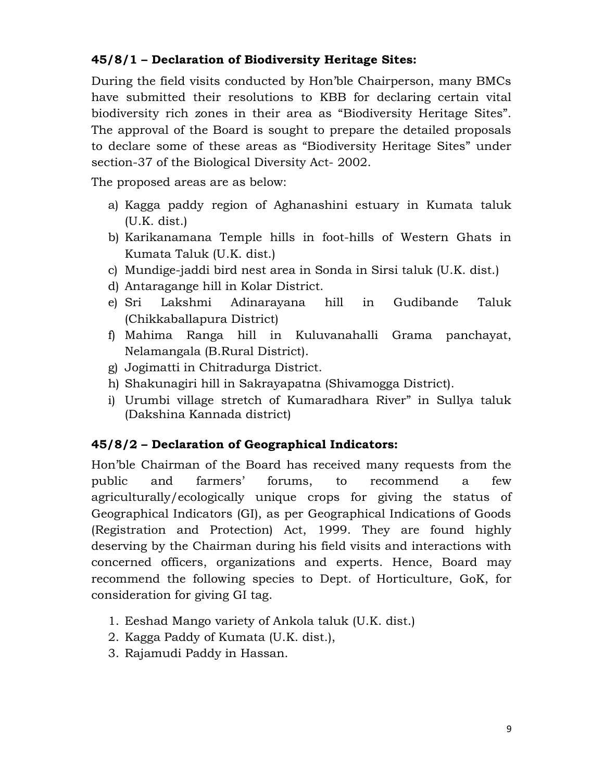# 45/8/1 – Declaration of Biodiversity Heritage Sites:

During the field visits conducted by Hon'ble Chairperson, many BMCs have submitted their resolutions to KBB for declaring certain vital biodiversity rich zones in their area as "Biodiversity Heritage Sites". The approval of the Board is sought to prepare the detailed proposals to declare some of these areas as "Biodiversity Heritage Sites" under section-37 of the Biological Diversity Act- 2002.

The proposed areas are as below:

- a) Kagga paddy region of Aghanashini estuary in Kumata taluk (U.K. dist.)
- b) Karikanamana Temple hills in foot-hills of Western Ghats in Kumata Taluk (U.K. dist.)
- c) Mundige-jaddi bird nest area in Sonda in Sirsi taluk (U.K. dist.)
- d) Antaragange hill in Kolar District.
- e) Sri Lakshmi Adinarayana hill in Gudibande Taluk (Chikkaballapura District)
- f) Mahima Ranga hill in Kuluvanahalli Grama panchayat, Nelamangala (B.Rural District).
- g) Jogimatti in Chitradurga District.
- h) Shakunagiri hill in Sakrayapatna (Shivamogga District).
- i) Urumbi village stretch of Kumaradhara River" in Sullya taluk (Dakshina Kannada district)

# 45/8/2 – Declaration of Geographical Indicators:

Hon'ble Chairman of the Board has received many requests from the public and farmers' forums, to recommend a few agriculturally/ecologically unique crops for giving the status of Geographical Indicators (GI), as per Geographical Indications of Goods (Registration and Protection) Act, 1999. They are found highly deserving by the Chairman during his field visits and interactions with concerned officers, organizations and experts. Hence, Board may recommend the following species to Dept. of Horticulture, GoK, for consideration for giving GI tag.

- 1. Eeshad Mango variety of Ankola taluk (U.K. dist.)
- 2. Kagga Paddy of Kumata (U.K. dist.),
- 3. Rajamudi Paddy in Hassan.